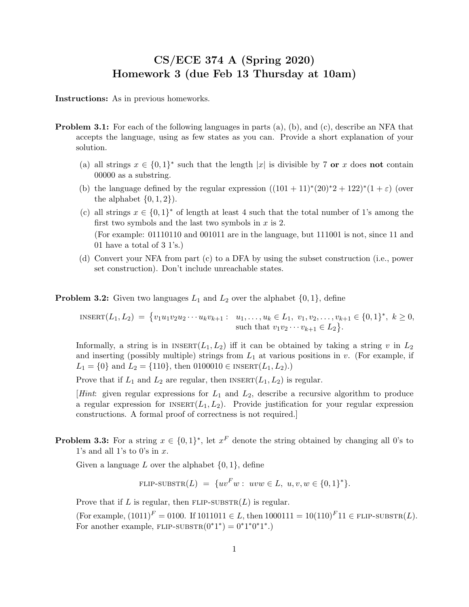## CS/ECE 374 A (Spring 2020) Homework 3 (due Feb 13 Thursday at 10am)

Instructions: As in previous homeworks.

- Problem 3.1: For each of the following languages in parts (a), (b), and (c), describe an NFA that accepts the language, using as few states as you can. Provide a short explanation of your solution.
	- (a) all strings  $x \in \{0,1\}^*$  such that the length |x| is divisible by 7 or x does not contain 00000 as a substring.
	- (b) the language defined by the regular expression  $((101 + 11)^*(20)^*2 + 122)^*(1 + \varepsilon)$  (over the alphabet  $\{0, 1, 2\}$ .
	- (c) all strings  $x \in \{0,1\}^*$  of length at least 4 such that the total number of 1's among the first two symbols and the last two symbols in  $x$  is 2. (For example: 01110110 and 001011 are in the language, but 111001 is not, since 11 and 01 have a total of 3 1's.)
	- (d) Convert your NFA from part (c) to a DFA by using the subset construction (i.e., power set construction). Don't include unreachable states.

**Problem 3.2:** Given two languages  $L_1$  and  $L_2$  over the alphabet  $\{0, 1\}$ , define

INSERT $(L_1, L_2) = \{v_1u_1v_2u_2\cdots u_kv_{k+1} : u_1, \ldots, u_k \in L_1, v_1, v_2, \ldots, v_{k+1} \in \{0,1\}^*, k \geq 0,$ such that  $v_1v_2\cdots v_{k+1} \in L_2$ .

Informally, a string is in  $INBERT(L_1, L_2)$  iff it can be obtained by taking a string v in  $L_2$ and inserting (possibly multiple) strings from  $L_1$  at various positions in v. (For example, if  $L_1 = \{0\}$  and  $L_2 = \{110\}$ , then  $0100010 \in \text{INSERT}(L_1, L_2)$ .)

Prove that if  $L_1$  and  $L_2$  are regular, then INSERT $(L_1, L_2)$  is regular.

[Hint: given regular expressions for  $L_1$  and  $L_2$ , describe a recursive algorithm to produce a regular expression for  $INSENT(L_1, L_2)$ . Provide justification for your regular expression constructions. A formal proof of correctness is not required.]

**Problem 3.3:** For a string  $x \in \{0,1\}^*$ , let  $x^F$  denote the string obtained by changing all 0's to 1's and all 1's to 0's in  $x$ .

Given a language  $L$  over the alphabet  $\{0, 1\}$ , define

FLIP-SUBSTR(
$$
L
$$
) = { $uv^F w$ :  $uvw \in L$ ,  $u, v, w \in \{0, 1\}^*\}$ .

Prove that if L is regular, then  $FLIP-SUBSTR(L)$  is regular.

(For example,  $(1011)^F = 0100$ . If  $1011011 \in L$ , then  $1000111 = 10(110)^F 11 \in FLIP-SUBSTR(L)$ . For another example,  $FLIP\text{-}SUBSTR(0^*1^*) = 0^*1^*0^*1^*$ .